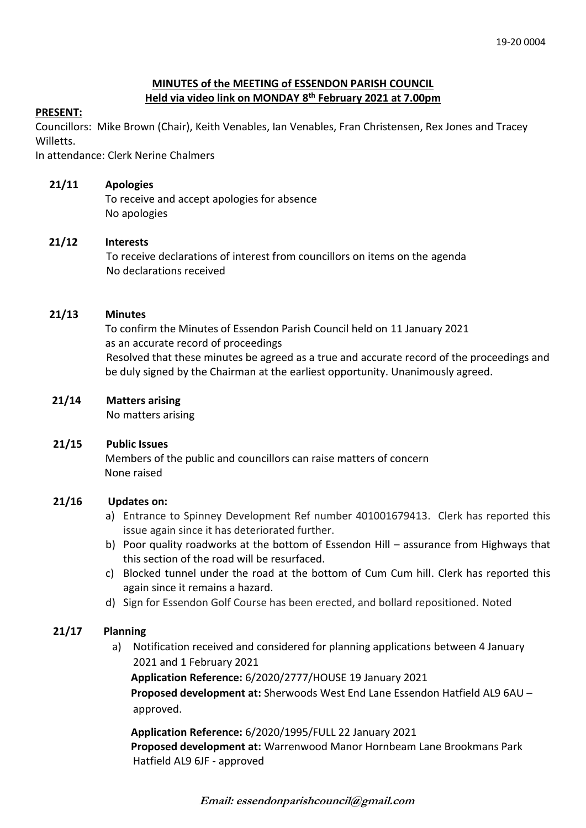## **MINUTES of the MEETING of ESSENDON PARISH COUNCIL Held via video link on MONDAY 8 th February 2021 at 7.00pm**

## **PRESENT:**

Councillors: Mike Brown (Chair), Keith Venables, Ian Venables, Fran Christensen, Rex Jones and Tracey Willetts.

In attendance: Clerk Nerine Chalmers

### **21/11 Apologies**

To receive and accept apologies for absence No apologies

## **21/12 Interests**

To receive declarations of interest from councillors on items on the agenda No declarations received

## **21/13 Minutes**

 To confirm the Minutes of Essendon Parish Council held on 11 January 2021 as an accurate record of proceedings Resolved that these minutes be agreed as a true and accurate record of the proceedings and be duly signed by the Chairman at the earliest opportunity. Unanimously agreed.

## **21/14 Matters arising**

No matters arising

#### **21/15 Public Issues**

Members of the public and councillors can raise matters of concern None raised

#### **21/16 Updates on:**

- a) Entrance to Spinney Development Ref number 401001679413. Clerk has reported this issue again since it has deteriorated further.
- b) Poor quality roadworks at the bottom of Essendon Hill assurance from Highways that this section of the road will be resurfaced.
- c) Blocked tunnel under the road at the bottom of Cum Cum hill. Clerk has reported this again since it remains a hazard.
- d) Sign for Essendon Golf Course has been erected, and bollard repositioned. Noted

# **21/17 Planning**

a) Notification received and considered for planning applications between 4 January 2021 and 1 February 2021

 **Application Reference:** 6/2020/2777/HOUSE 19 January 2021  **Proposed development at:** Sherwoods West End Lane Essendon Hatfield AL9 6AU – approved.

 **Application Reference:** 6/2020/1995/FULL 22 January 2021  **Proposed development at:** Warrenwood Manor Hornbeam Lane Brookmans Park Hatfield AL9 6JF - approved

**Email: essendonparishcouncil@gmail.com**